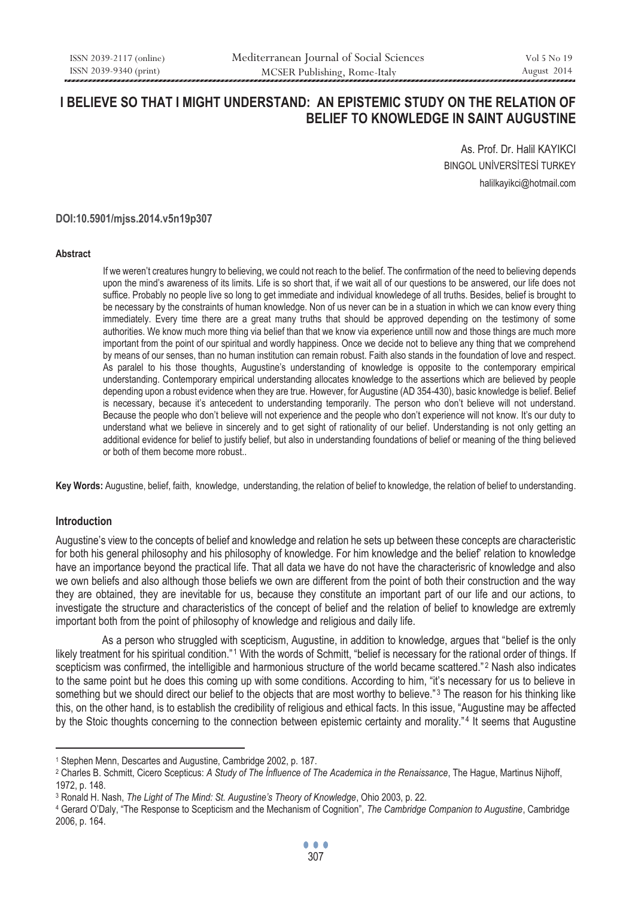# **I BELIEVE SO THAT I MIGHT UNDERSTAND: AN EPISTEMIC STUDY ON THE RELATION OF BELIEF TO KNOWLEDGE IN SAINT AUGUSTINE**

As. Prof. Dr. Halil KAYIKCI BINGOL UNİVERSİTESİ TURKEY halilkayikci@hotmail.com

#### **DOI:10.5901/mjss.2014.v5n19p307**

#### **Abstract**

If we weren't creatures hungry to believing, we could not reach to the belief. The confirmation of the need to believing depends upon the mind's awareness of its limits. Life is so short that, if we wait all of our questions to be answered, our life does not suffice. Probably no people live so long to get immediate and individual knowledege of all truths. Besides, belief is brought to be necessary by the constraints of human knowledge. Non of us never can be in a stuation in which we can know every thing immediately. Every time there are a great many truths that should be approved depending on the testimony of some authorities. We know much more thing via belief than that we know via experience untill now and those things are much more important from the point of our spiritual and wordly happiness. Once we decide not to believe any thing that we comprehend by means of our senses, than no human institution can remain robust. Faith also stands in the foundation of love and respect. As paralel to his those thoughts, Augustine's understanding of knowledge is opposite to the contemporary empirical understanding. Contemporary empirical understanding allocates knowledge to the assertions which are believed by people depending upon a robust evidence when they are true. However, for Augustine (AD 354-430), basic knowledge is belief. Belief is necessary, because it's antecedent to understanding temporarily. The person who don't believe will not understand. Because the people who don't believe will not experience and the people who don't experience will not know. It's our duty to understand what we believe in sincerely and to get sight of rationality of our belief. Understanding is not only getting an additional evidence for belief to justify belief, but also in understanding foundations of belief or meaning of the thing believed or both of them become more robust..

**Key Words:** Augustine, belief, faith, knowledge, understanding, the relation of belief to knowledge, the relation of belief to understanding.

### **Introduction**

 $\overline{a}$ 

Augustine's view to the concepts of belief and knowledge and relation he sets up between these concepts are characteristic for both his general philosophy and his philosophy of knowledge. For him knowledge and the belief' relation to knowledge have an importance beyond the practical life. That all data we have do not have the characterisric of knowledge and also we own beliefs and also although those beliefs we own are different from the point of both their construction and the way they are obtained, they are inevitable for us, because they constitute an important part of our life and our actions, to investigate the structure and characteristics of the concept of belief and the relation of belief to knowledge are extremly important both from the point of philosophy of knowledge and religious and daily life.

As a person who struggled with scepticism, Augustine, in addition to knowledge, argues that "belief is the only likely treatment for his spiritual condition."<sup>1</sup> With the words of Schmitt, "belief is necessary for the rational order of things. If scepticism was confirmed, the intelligible and harmonious structure of the world became scattered."<sup>2</sup> Nash also indicates to the same point but he does this coming up with some conditions. According to him, "it's necessary for us to believe in something but we should direct our belief to the objects that are most worthy to believe."<sup>3</sup> The reason for his thinking like this, on the other hand, is to establish the credibility of religious and ethical facts. In this issue, "Augustine may be affected by the Stoic thoughts concerning to the connection between epistemic certainty and morality."<sup>4</sup> It seems that Augustine

<sup>&</sup>lt;sup>1</sup> Stephen Menn, Descartes and Augustine, Cambridge 2002, p. 187.<br><sup>2</sup> Charles B. Schmitt, Cicero Scepticus: *A Study of The Influence of The Academica in the Renaissance*, The Hague, Martinus Nijhoff, 1972, p. 148.

<sup>&</sup>lt;sup>3</sup> Ronald H. Nash, The Light of The Mind: St. Augustine's Theory of Knowledge, Ohio 2003, p. 22.<br><sup>4</sup> Gerard O'Daly, "The Response to Scepticism and the Mechanism of Cognition", The Cambridge Companion to Augustine, Cambri 2006, p. 164.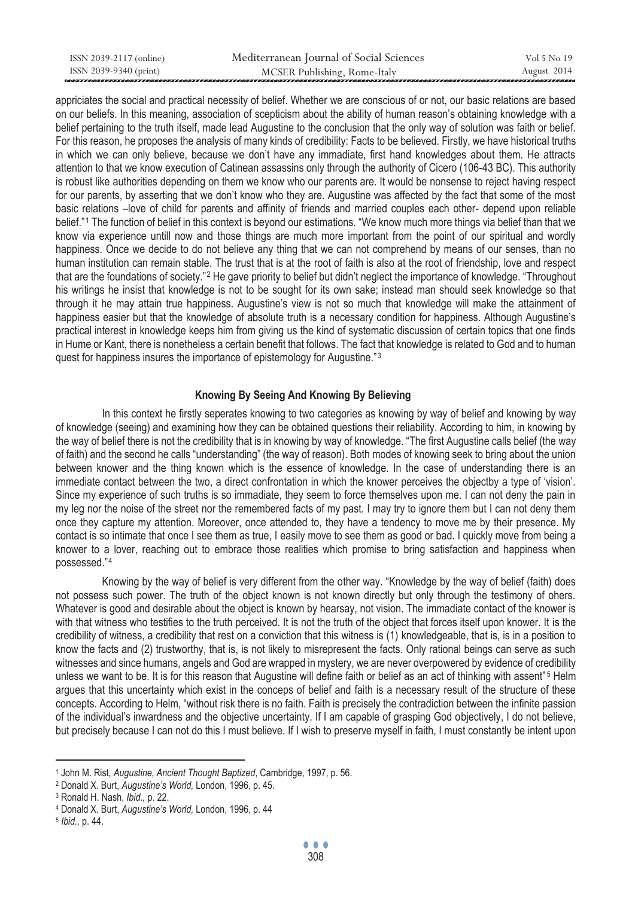| ISSN 2039-2117 (online) | Mediterranean Journal of Social Sciences | Vol 5 No 19 |
|-------------------------|------------------------------------------|-------------|
| ISSN 2039-9340 (print)  | MCSER Publishing, Rome-Italy             | August 2014 |

appriciates the social and practical necessity of belief. Whether we are conscious of or not, our basic relations are based on our beliefs. In this meaning, association of scepticism about the ability of human reason's obtaining knowledge with a belief pertaining to the truth itself, made lead Augustine to the conclusion that the only way of solution was faith or belief. For this reason, he proposes the analysis of many kinds of credibility: Facts to be believed. Firstly, we have historical truths in which we can only believe, because we don't have any immadiate, first hand knowledges about them. He attracts attention to that we know execution of Catinean assassins only through the authority of Cicero (106-43 BC). This authority is robust like authorities depending on them we know who our parents are. It would be nonsense to reject having respect for our parents, by asserting that we don't know who they are. Augustine was affected by the fact that some of the most basic relations –love of child for parents and affinity of friends and married couples each other- depend upon reliable belief."<sup>1</sup> The function of belief in this context is beyond our estimations. "We know much more things via belief than that we know via experience untill now and those things are much more important from the point of our spiritual and wordly happiness. Once we decide to do not believe any thing that we can not comprehend by means of our senses, than no human institution can remain stable. The trust that is at the root of faith is also at the root of friendship, love and respect that are the foundations of society."<sup>2</sup> He gave priority to belief but didn't neglect the importance of knowledge. "Throughout his writings he insist that knowledge is not to be sought for its own sake; instead man should seek knowledge so that through it he may attain true happiness. Augustine's view is not so much that knowledge will make the attainment of happiness easier but that the knowledge of absolute truth is a necessary condition for happiness. Although Augustine's practical interest in knowledge keeps him from giving us the kind of systematic discussion of certain topics that one finds in Hume or Kant, there is nonetheless a certain benefit that follows. The fact that knowledge is related to God and to human quest for happiness insures the importance of epistemology for Augustine."3

# **Knowing By Seeing And Knowing By Believing**

In this context he firstly seperates knowing to two categories as knowing by way of belief and knowing by way of knowledge (seeing) and examining how they can be obtained questions their reliability. According to him, in knowing by the way of belief there is not the credibility that is in knowing by way of knowledge. "The first Augustine calls belief (the way of faith) and the second he calls "understanding" (the way of reason). Both modes of knowing seek to bring about the union between knower and the thing known which is the essence of knowledge. In the case of understanding there is an immediate contact between the two, a direct confrontation in which the knower perceives the objectby a type of 'vision'. Since my experience of such truths is so immadiate, they seem to force themselves upon me. I can not deny the pain in my leg nor the noise of the street nor the remembered facts of my past. I may try to ignore them but I can not deny them once they capture my attention. Moreover, once attended to, they have a tendency to move me by their presence. My contact is so intimate that once I see them as true, I easily move to see them as good or bad. I quickly move from being a knower to a lover, reaching out to embrace those realities which promise to bring satisfaction and happiness when possessed."4

Knowing by the way of belief is very different from the other way. "Knowledge by the way of belief (faith) does not possess such power. The truth of the object known is not known directly but only through the testimony of ohers. Whatever is good and desirable about the object is known by hearsay, not vision. The immadiate contact of the knower is with that witness who testifies to the truth perceived. It is not the truth of the object that forces itself upon knower. It is the credibility of witness, a credibility that rest on a conviction that this witness is (1) knowledgeable, that is, is in a position to know the facts and (2) trustworthy, that is, is not likely to misrepresent the facts. Only rational beings can serve as such witnesses and since humans, angels and God are wrapped in mystery, we are never overpowered by evidence of credibility unless we want to be. It is for this reason that Augustine will define faith or belief as an act of thinking with assent"<sup>5</sup> Helm argues that this uncertainty which exist in the conceps of belief and faith is a necessary result of the structure of these concepts. According to Helm, "without risk there is no faith. Faith is precisely the contradiction between the infinite passion of the individual's inwardness and the objective uncertainty. If I am capable of grasping God objectively, I do not believe, but precisely because I can not do this I must believe. If I wish to preserve myself in faith, I must constantly be intent upon

<sup>&</sup>lt;sup>1</sup> John M. Rist, *Augustine, Ancient Thought Baptized*, Cambridge, 1997, p. 56.<br><sup>2</sup> Donald X. Burt, *Augustine's World*, London, 1996, p. 45.<br><sup>3</sup> Ronald H. Nash, *Ibid.*, p. 22.<br><sup>4</sup> Donald X. Burt, *Augustine's World*, Lo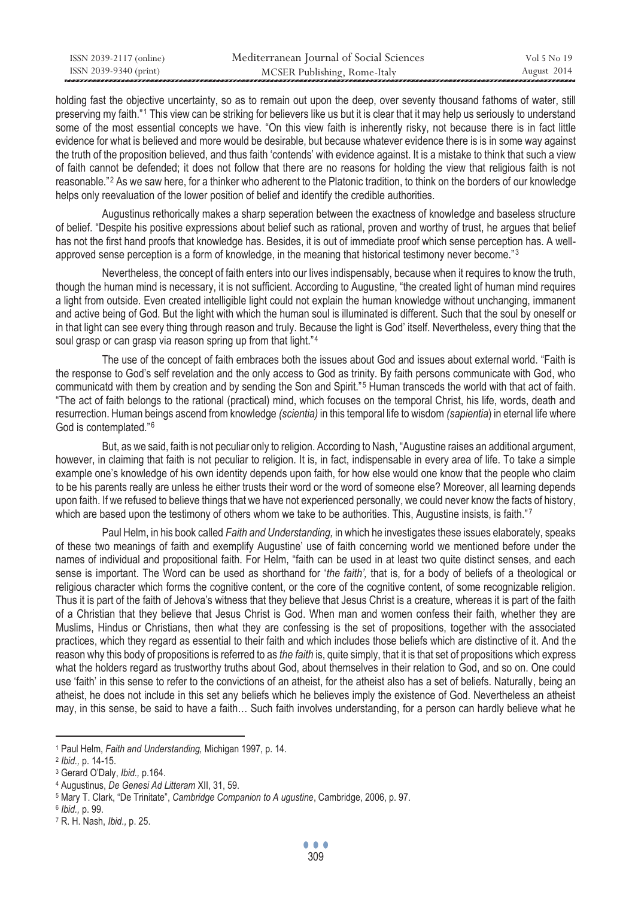| ISSN 2039-2117 (online) | Mediterranean Journal of Social Sciences | Vol 5 No 19 |
|-------------------------|------------------------------------------|-------------|
| ISSN 2039-9340 (print)  | MCSER Publishing, Rome-Italy             | August 2014 |

holding fast the objective uncertainty, so as to remain out upon the deep, over seventy thousand fathoms of water, still preserving my faith."1 This view can be striking for believers like us but it is clear that it may help us seriously to understand some of the most essential concepts we have. "On this view faith is inherently risky, not because there is in fact little evidence for what is believed and more would be desirable, but because whatever evidence there is is in some way against the truth of the proposition believed, and thus faith 'contends' with evidence against. It is a mistake to think that such a view of faith cannot be defended; it does not follow that there are no reasons for holding the view that religious faith is not reasonable."<sup>2</sup> As we saw here, for a thinker who adherent to the Platonic tradition, to think on the borders of our knowledge helps only reevaluation of the lower position of belief and identify the credible authorities.

Augustinus rethorically makes a sharp seperation between the exactness of knowledge and baseless structure of belief. "Despite his positive expressions about belief such as rational, proven and worthy of trust, he argues that belief has not the first hand proofs that knowledge has. Besides, it is out of immediate proof which sense perception has. A wellapproved sense perception is a form of knowledge, in the meaning that historical testimony never become."<sup>3</sup>

Nevertheless, the concept of faith enters into our lives indispensably, because when it requires to know the truth, though the human mind is necessary, it is not sufficient. According to Augustine, "the created light of human mind requires a light from outside. Even created intelligible light could not explain the human knowledge without unchanging, immanent and active being of God. But the light with which the human soul is illuminated is different. Such that the soul by oneself or in that light can see every thing through reason and truly. Because the light is God' itself. Nevertheless, every thing that the soul grasp or can grasp via reason spring up from that light."4

The use of the concept of faith embraces both the issues about God and issues about external world. "Faith is the response to God's self revelation and the only access to God as trinity. By faith persons communicate with God, who communicatd with them by creation and by sending the Son and Spirit."<sup>5</sup> Human transceds the world with that act of faith. "The act of faith belongs to the rational (practical) mind, which focuses on the temporal Christ, his life, words, death and resurrection. Human beings ascend from knowledge *(scientia)* in this temporal life to wisdom *(sapientia*) in eternal life where God is contemplated."<sup>6</sup>

But, as we said, faith is not peculiar only to religion. According to Nash, "Augustine raises an additional argument, however, in claiming that faith is not peculiar to religion. It is, in fact, indispensable in every area of life. To take a simple example one's knowledge of his own identity depends upon faith, for how else would one know that the people who claim to be his parents really are unless he either trusts their word or the word of someone else? Moreover, all learning depends upon faith. If we refused to believe things that we have not experienced personally, we could never know the facts of history, which are based upon the testimony of others whom we take to be authorities. This, Augustine insists, is faith."7

Paul Helm, in his book called *Faith and Understanding,* in which he investigates these issues elaborately, speaks of these two meanings of faith and exemplify Augustine' use of faith concerning world we mentioned before under the names of individual and propositional faith. For Helm, "faith can be used in at least two quite distinct senses, and each sense is important. The Word can be used as shorthand for '*the faith',* that is, for a body of beliefs of a theological or religious character which forms the cognitive content, or the core of the cognitive content, of some recognizable religion. Thus it is part of the faith of Jehova's witness that they believe that Jesus Christ is a creature, whereas it is part of the faith of a Christian that they believe that Jesus Christ is God. When man and women confess their faith, whether they are Muslims, Hindus or Christians, then what they are confessing is the set of propositions, together with the associated practices, which they regard as essential to their faith and which includes those beliefs which are distinctive of it. And the reason why this body of propositions is referred to as *the faith* is, quite simply, that it is that set of propositions which express what the holders regard as trustworthy truths about God, about themselves in their relation to God, and so on. One could use 'faith' in this sense to refer to the convictions of an atheist, for the atheist also has a set of beliefs. Naturally, being an atheist, he does not include in this set any beliefs which he believes imply the existence of God. Nevertheless an atheist may, in this sense, be said to have a faith… Such faith involves understanding, for a person can hardly believe what he

<sup>&</sup>lt;sup>1</sup> Paul Helm, *Faith and Understanding*, Michigan 1997, p. 14.<br>
<sup>2</sup> Ibid., p. 14-15.<br>
<sup>3</sup> Gerard O'Daly, Ibid., p. 164.<br>
<sup>4</sup> Augustinus, *De Genesi Ad Litteram XII*, 31, 59.<br>
<sup>5</sup> Mary T. Clark, "De Trinitate", *Cambridge*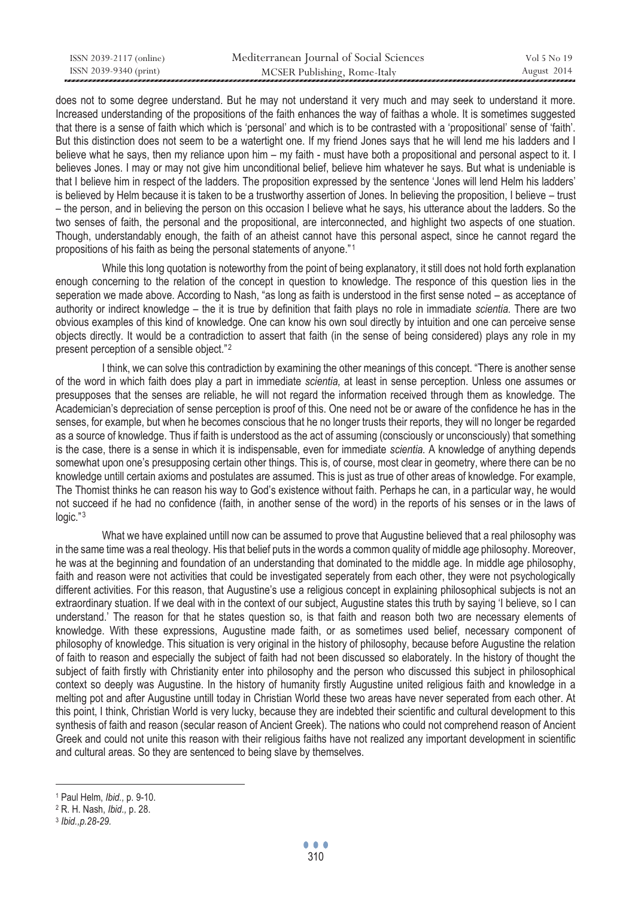| ISSN 2039-2117 (online) | Mediterranean Journal of Social Sciences | Vol 5 No 19 |
|-------------------------|------------------------------------------|-------------|
| ISSN 2039-9340 (print)  | MCSER Publishing, Rome-Italy             | August 2014 |

does not to some degree understand. But he may not understand it very much and may seek to understand it more. Increased understanding of the propositions of the faith enhances the way of faithas a whole. It is sometimes suggested that there is a sense of faith which which is 'personal' and which is to be contrasted with a 'propositional' sense of 'faith'. But this distinction does not seem to be a watertight one. If my friend Jones says that he will lend me his ladders and I believe what he says, then my reliance upon him – my faith - must have both a propositional and personal aspect to it. I believes Jones. I may or may not give him unconditional belief, believe him whatever he says. But what is undeniable is that I believe him in respect of the ladders. The proposition expressed by the sentence 'Jones will lend Helm his ladders' is believed by Helm because it is taken to be a trustworthy assertion of Jones. In believing the proposition, I believe – trust – the person, and in believing the person on this occasion I believe what he says, his utterance about the ladders. So the two senses of faith, the personal and the propositional, are interconnected, and highlight two aspects of one stuation. Though, understandably enough, the faith of an atheist cannot have this personal aspect, since he cannot regard the propositions of his faith as being the personal statements of anyone."<sup>1</sup>

While this long quotation is noteworthy from the point of being explanatory, it still does not hold forth explanation enough concerning to the relation of the concept in question to knowledge. The responce of this question lies in the seperation we made above. According to Nash, "as long as faith is understood in the first sense noted – as acceptance of authority or indirect knowledge – the it is true by definition that faith plays no role in immadiate *scientia.* There are two obvious examples of this kind of knowledge. One can know his own soul directly by intuition and one can perceive sense objects directly. It would be a contradiction to assert that faith (in the sense of being considered) plays any role in my present perception of a sensible object."<sup>2</sup>

I think, we can solve this contradiction by examining the other meanings of this concept. "There is another sense of the word in which faith does play a part in immediate *scientia,* at least in sense perception. Unless one assumes or presupposes that the senses are reliable, he will not regard the information received through them as knowledge. The Academician's depreciation of sense perception is proof of this. One need not be or aware of the confidence he has in the senses, for example, but when he becomes conscious that he no longer trusts their reports, they will no longer be regarded as a source of knowledge. Thus if faith is understood as the act of assuming (consciously or unconsciously) that something is the case, there is a sense in which it is indispensable, even for immediate *scientia.* A knowledge of anything depends somewhat upon one's presupposing certain other things. This is, of course, most clear in geometry, where there can be no knowledge untill certain axioms and postulates are assumed. This is just as true of other areas of knowledge. For example, The Thomist thinks he can reason his way to God's existence without faith. Perhaps he can, in a particular way, he would not succeed if he had no confidence (faith, in another sense of the word) in the reports of his senses or in the laws of  $logic."$ <sup>3</sup>

What we have explained untill now can be assumed to prove that Augustine believed that a real philosophy was in the same time was a real theology. His that belief puts in the words a common quality of middle age philosophy. Moreover, he was at the beginning and foundation of an understanding that dominated to the middle age. In middle age philosophy, faith and reason were not activities that could be investigated seperately from each other, they were not psychologically different activities. For this reason, that Augustine's use a religious concept in explaining philosophical subjects is not an extraordinary stuation. If we deal with in the context of our subject, Augustine states this truth by saying 'I believe, so I can understand.' The reason for that he states question so, is that faith and reason both two are necessary elements of knowledge. With these expressions, Augustine made faith, or as sometimes used belief, necessary component of philosophy of knowledge. This situation is very original in the history of philosophy, because before Augustine the relation of faith to reason and especially the subject of faith had not been discussed so elaborately. In the history of thought the subject of faith firstly with Christianity enter into philosophy and the person who discussed this subject in philosophical context so deeply was Augustine. In the history of humanity firstly Augustine united religious faith and knowledge in a melting pot and after Augustine untill today in Christian World these two areas have never seperated from each other. At this point, I think, Christian World is very lucky, because they are indebted their scientific and cultural development to this synthesis of faith and reason (secular reason of Ancient Greek). The nations who could not comprehend reason of Ancient Greek and could not unite this reason with their religious faiths have not realized any important development in scientific and cultural areas. So they are sentenced to being slave by themselves.

<sup>1</sup> Paul Helm, *Ibid.,* p. 9-10. 2 R. H. Nash, *Ibid.,* p. 28. 3 *Ibid.,p.28-29.*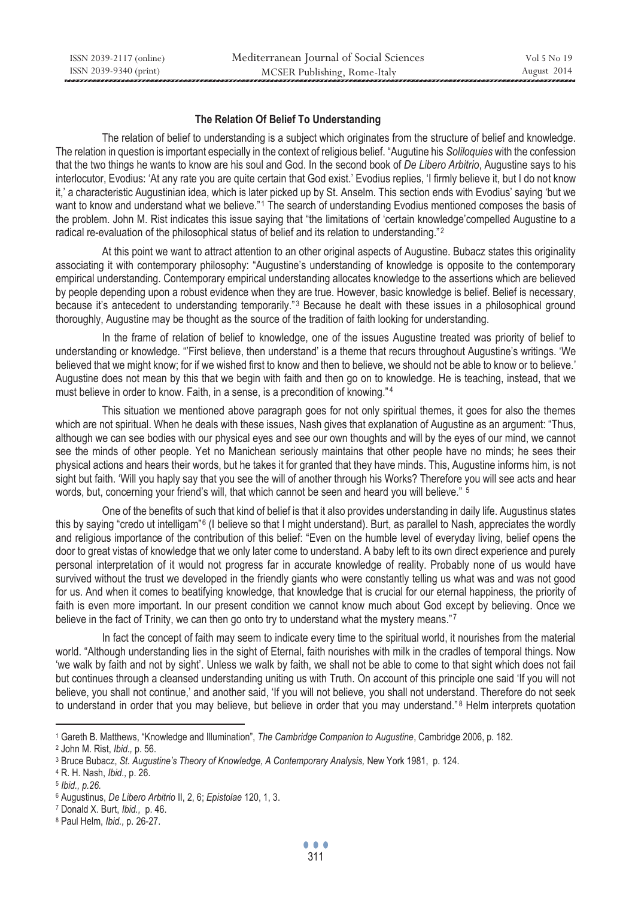# **The Relation Of Belief To Understanding**

The relation of belief to understanding is a subject which originates from the structure of belief and knowledge. The relation in question is important especially in the context of religious belief. "Augutine his *Soliloquies* with the confession that the two things he wants to know are his soul and God. In the second book of *De Libero Arbitrio*, Augustine says to his interlocutor, Evodius: 'At any rate you are quite certain that God exist.' Evodius replies, 'I firmly believe it, but I do not know it,' a characteristic Augustinian idea, which is later picked up by St. Anselm. This section ends with Evodius' saying 'but we want to know and understand what we believe."<sup>1</sup> The search of understanding Evodius mentioned composes the basis of the problem. John M. Rist indicates this issue saying that "the limitations of 'certain knowledge'compelled Augustine to a radical re-evaluation of the philosophical status of belief and its relation to understanding."<sup>2</sup>

At this point we want to attract attention to an other original aspects of Augustine. Bubacz states this originality associating it with contemporary philosophy: "Augustine's understanding of knowledge is opposite to the contemporary empirical understanding. Contemporary empirical understanding allocates knowledge to the assertions which are believed by people depending upon a robust evidence when they are true. However, basic knowledge is belief. Belief is necessary, because it's antecedent to understanding temporarily."<sup>3</sup> Because he dealt with these issues in a philosophical ground thoroughly, Augustine may be thought as the source of the tradition of faith looking for understanding.

In the frame of relation of belief to knowledge, one of the issues Augustine treated was priority of belief to understanding or knowledge. "'First believe, then understand' is a theme that recurs throughout Augustine's writings. 'We believed that we might know; for if we wished first to know and then to believe, we should not be able to know or to believe.' Augustine does not mean by this that we begin with faith and then go on to knowledge. He is teaching, instead, that we must believe in order to know. Faith, in a sense, is a precondition of knowing."<sup>4</sup>

This situation we mentioned above paragraph goes for not only spiritual themes, it goes for also the themes which are not spiritual. When he deals with these issues, Nash gives that explanation of Augustine as an argument: "Thus, although we can see bodies with our physical eyes and see our own thoughts and will by the eyes of our mind, we cannot see the minds of other people. Yet no Manichean seriously maintains that other people have no minds; he sees their physical actions and hears their words, but he takes it for granted that they have minds. This, Augustine informs him, is not sight but faith. 'Will you haply say that you see the will of another through his Works? Therefore you will see acts and hear words, but, concerning your friend's will, that which cannot be seen and heard you will believe." <sup>5</sup>

One of the benefits of such that kind of belief is that it also provides understanding in daily life. Augustinus states this by saying "credo ut intelligam"<sup>6</sup> (I believe so that I might understand). Burt, as parallel to Nash, appreciates the wordly and religious importance of the contribution of this belief: "Even on the humble level of everyday living, belief opens the door to great vistas of knowledge that we only later come to understand. A baby left to its own direct experience and purely personal interpretation of it would not progress far in accurate knowledge of reality. Probably none of us would have survived without the trust we developed in the friendly giants who were constantly telling us what was and was not good for us. And when it comes to beatifying knowledge, that knowledge that is crucial for our eternal happiness, the priority of faith is even more important. In our present condition we cannot know much about God except by believing. Once we believe in the fact of Trinity, we can then go onto try to understand what the mystery means."7

In fact the concept of faith may seem to indicate every time to the spiritual world, it nourishes from the material world. "Although understanding lies in the sight of Eternal, faith nourishes with milk in the cradles of temporal things. Now 'we walk by faith and not by sight'. Unless we walk by faith, we shall not be able to come to that sight which does not fail but continues through a cleansed understanding uniting us with Truth. On account of this principle one said 'If you will not believe, you shall not continue,' and another said, 'If you will not believe, you shall not understand. Therefore do not seek to understand in order that you may believe, but believe in order that you may understand."<sup>8</sup> Helm interprets quotation

 $\overline{a}$ <sup>1</sup> Gareth B. Matthews, "Knowledge and Illumination", *The Cambridge Companion to Augustine*, Cambridge 2006, p. 182.<br>
<sup>2</sup> John M. Rist, *Ibid.*, p. 56.<br>
<sup>3</sup> Bruce Bubacz, *St. Augustine's Theory of Knowledge, A Contempora* 

<sup>6</sup> Augustinus, *De Libero Arbitrio* II, 2, 6; *Epistolae* 120, 1, 3. 7 Donald X. Burt, *Ibid.,* p. 46. 8 Paul Helm, *Ibid.,* p. 26-27.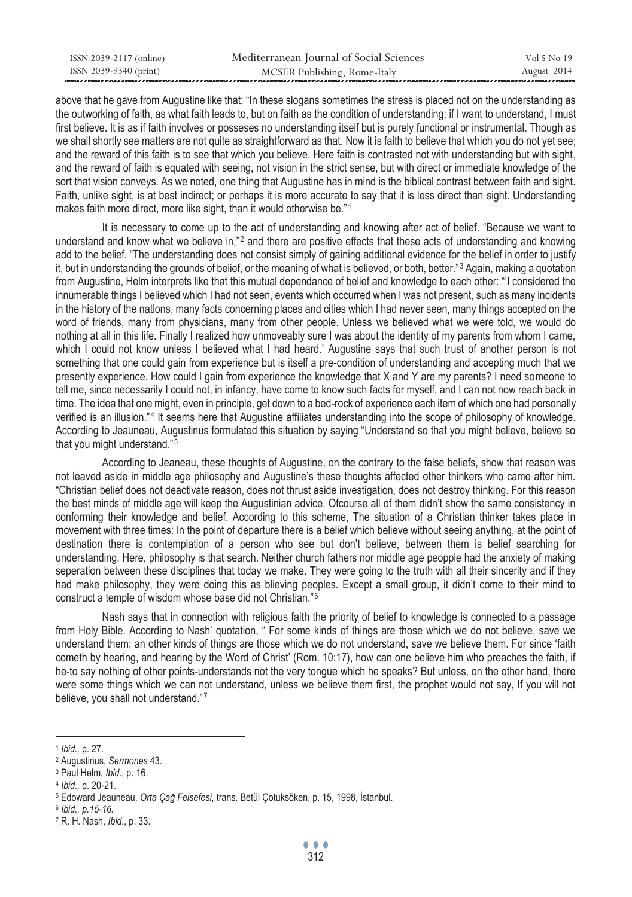| ISSN 2039-2117 (online) | Mediterranean Journal of Social Sciences | Vol 5 No 19 |
|-------------------------|------------------------------------------|-------------|
| ISSN 2039-9340 (print)  | MCSER Publishing, Rome-Italy             | August 2014 |

above that he gave from Augustine like that: "In these slogans sometimes the stress is placed not on the understanding as the outworking of faith, as what faith leads to, but on faith as the condition of understanding; if I want to understand, I must first believe. It is as if faith involves or posseses no understanding itself but is purely functional or instrumental. Though as we shall shortly see matters are not quite as straightforward as that. Now it is faith to believe that which you do not yet see; and the reward of this faith is to see that which you believe. Here faith is contrasted not with understanding but with sight, and the reward of faith is equated with seeing, not vision in the strict sense, but with direct or immediate knowledge of the sort that vision conveys. As we noted, one thing that Augustine has in mind is the biblical contrast between faith and sight. Faith, unlike sight, is at best indirect; or perhaps it is more accurate to say that it is less direct than sight. Understanding makes faith more direct, more like sight, than it would otherwise be."1

It is necessary to come up to the act of understanding and knowing after act of belief. "Because we want to understand and know what we believe in,"<sup>2</sup> and there are positive effects that these acts of understanding and knowing add to the belief. "The understanding does not consist simply of gaining additional evidence for the belief in order to justify it, but in understanding the grounds of belief, or the meaning of what is believed, or both, better."<sup>3</sup> Again, making a quotation from Augustine, Helm interprets like that this mutual dependance of belief and knowledge to each other: "'I considered the innumerable things I believed which I had not seen, events which occurred when I was not present, such as many incidents in the history of the nations, many facts concerning places and cities which I had never seen, many things accepted on the word of friends, many from physicians, many from other people. Unless we believed what we were told, we would do nothing at all in this life. Finally I realized how unmoveably sure I was about the identity of my parents from whom I came, which I could not know unless I believed what I had heard.' Augustine says that such trust of another person is not something that one could gain from experience but is itself a pre-condition of understanding and accepting much that we presently experience. How could I gain from experience the knowledge that X and Y are my parents? I need someone to tell me, since necessarily I could not, in infancy, have come to know such facts for myself, and I can not now reach back in time. The idea that one might, even in principle, get down to a bed-rock of experience each item of which one had personally verified is an illusion."<sup>4</sup> It seems here that Augustine affiliates understanding into the scope of philosophy of knowledge. According to Jeauneau, Augustinus formulated this situation by saying "Understand so that you might believe, believe so that you might understand."<sup>5</sup>

According to Jeaneau, these thoughts of Augustine, on the contrary to the false beliefs, show that reason was not leaved aside in middle age philosophy and Augustine's these thoughts affected other thinkers who came after him. "Christian belief does not deactivate reason, does not thrust aside investigation, does not destroy thinking. For this reason the best minds of middle age will keep the Augustinian advice. Ofcourse all of them didn't show the same consistency in conforming their knowledge and belief. According to this scheme, The situation of a Christian thinker takes place in movement with three times: In the point of departure there is a belief which believe without seeing anything, at the point of destination there is contemplation of a person who see but don't believe, between them is belief searching for understanding. Here, philosophy is that search. Neither church fathers nor middle age peopple had the anxiety of making seperation between these disciplines that today we make. They were going to the truth with all their sincerity and if they had make philosophy, they were doing this as blieving peoples. Except a small group, it didn't come to their mind to construct a temple of wisdom whose base did not Christian."<sup>6</sup>

Nash says that in connection with religious faith the priority of belief to knowledge is connected to a passage from Holy Bible. According to Nash' quotation, " For some kinds of things are those which we do not believe, save we understand them; an other kinds of things are those which we do not understand, save we believe them. For since 'faith cometh by hearing, and hearing by the Word of Christ' (Rom. 10:17), how can one believe him who preaches the faith, if he-to say nothing of other points-understands not the very tongue which he speaks? But unless, on the other hand, there were some things which we can not understand, unless we believe them first, the prophet would not say, If you will not believe, you shall not understand."7

<sup>1</sup> *Ibid.,* p. 27. 2 Augustinus, *Sermones* 43. 3 Paul Helm, *Ibid.,* p. 16.

<sup>4</sup> *Ibid.,* p. 20-21. 5 Edoward Jeauneau, *Orta Çağ Felsefesi*, trans. Betül Çotuksöken, p. 15, 1998, İstanbul. 6 *Ibid., p.15-16.*

<sup>7</sup> R. H. Nash, *Ibid.,* p. 33.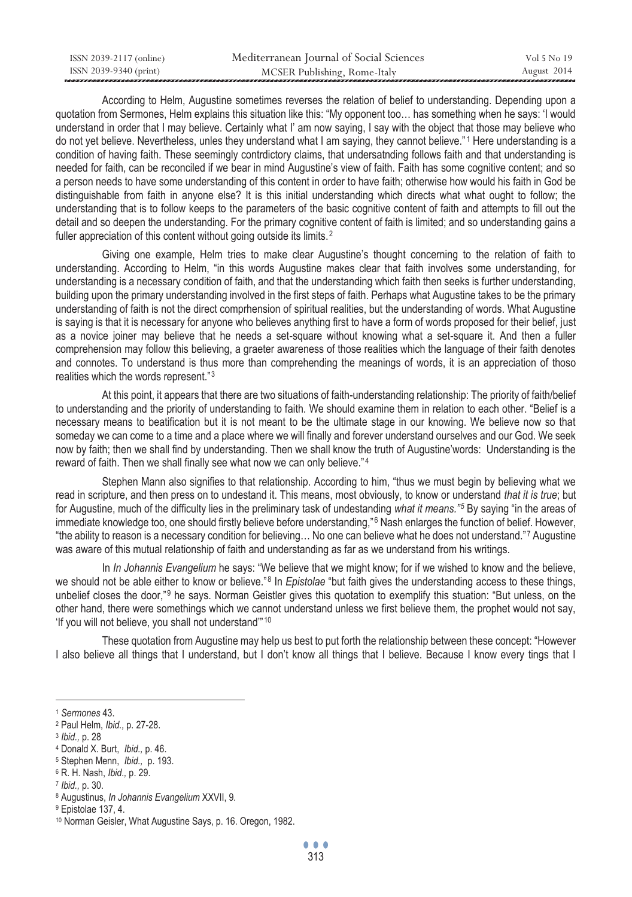| ISSN 2039-2117 (online) | Mediterranean Journal of Social Sciences | Vol 5 No 19 |
|-------------------------|------------------------------------------|-------------|
| ISSN 2039-9340 (print)  | MCSER Publishing, Rome-Italy             | August 2014 |

According to Helm, Augustine sometimes reverses the relation of belief to understanding. Depending upon a quotation from Sermones, Helm explains this situation like this: "My opponent too… has something when he says: 'I would understand in order that I may believe. Certainly what I' am now saying, I say with the object that those may believe who do not yet believe. Nevertheless, unles they understand what I am saying, they cannot believe."<sup>1</sup> Here understanding is a condition of having faith. These seemingly contrdictory claims, that undersatnding follows faith and that understanding is needed for faith, can be reconciled if we bear in mind Augustine's view of faith. Faith has some cognitive content; and so a person needs to have some understanding of this content in order to have faith; otherwise how would his faith in God be distinguishable from faith in anyone else? It is this initial understanding which directs what what ought to follow; the understanding that is to follow keeps to the parameters of the basic cognitive content of faith and attempts to fill out the detail and so deepen the understanding. For the primary cognitive content of faith is limited; and so understanding gains a fuller appreciation of this content without going outside its limits.<sup>2</sup>

Giving one example, Helm tries to make clear Augustine's thought concerning to the relation of faith to understanding. According to Helm, "in this words Augustine makes clear that faith involves some understanding, for understanding is a necessary condition of faith, and that the understanding which faith then seeks is further understanding, building upon the primary understanding involved in the first steps of faith. Perhaps what Augustine takes to be the primary understanding of faith is not the direct comprhension of spiritual realities, but the understanding of words. What Augustine is saying is that it is necessary for anyone who believes anything first to have a form of words proposed for their belief, just as a novice joiner may believe that he needs a set-square without knowing what a set-square it. And then a fuller comprehension may follow this believing, a graeter awareness of those realities which the language of their faith denotes and connotes. To understand is thus more than comprehending the meanings of words, it is an appreciation of thoso realities which the words represent."3

At this point, it appears that there are two situations of faith-understanding relationship: The priority of faith/belief to understanding and the priority of understanding to faith. We should examine them in relation to each other. "Belief is a necessary means to beatification but it is not meant to be the ultimate stage in our knowing. We believe now so that someday we can come to a time and a place where we will finally and forever understand ourselves and our God. We seek now by faith; then we shall find by understanding. Then we shall know the truth of Augustine'words: Understanding is the reward of faith. Then we shall finally see what now we can only believe."4

Stephen Mann also signifies to that relationship. According to him, "thus we must begin by believing what we read in scripture, and then press on to undestand it. This means, most obviously, to know or understand *that it is true*; but for Augustine, much of the difficulty lies in the preliminary task of undestanding what it means."<sup>5</sup> By saying "in the areas of immediate knowledge too, one should firstly believe before understanding,"<sup>6</sup> Nash enlarges the function of belief. However, "the ability to reason is a necessary condition for believing... No one can believe what he does not understand."7 Augustine was aware of this mutual relationship of faith and understanding as far as we understand from his writings.

In *In Johannis Evangelium* he says: "We believe that we might know; for if we wished to know and the believe, we should not be able either to know or believe."<sup>8</sup> In *Epistolae* "but faith gives the understanding access to these things, unbelief closes the door,"<sup>9</sup> he says. Norman Geistler gives this quotation to exemplify this stuation: "But unless, on the other hand, there were somethings which we cannot understand unless we first believe them, the prophet would not say, 'If you will not believe, you shall not understand"<sup>10</sup>

These quotation from Augustine may help us best to put forth the relationship between these concept: "However I also believe all things that I understand, but I don't know all things that I believe. Because I know every tings that I

<sup>&</sup>lt;sup>1</sup> Sermones 43.<br>
<sup>2</sup> Paul Helm, *Ibid.*, p. 27-28.<br>
<sup>3</sup> *Ibid.*, p. 28<br>
<sup>4</sup> Donald X. Burt, *Ibid.*, p. 46.<br>
<sup>5</sup> Stephen Menn, *Ibid.*, p. 193.<br>
<sup>6</sup> R. H. Nash, *Ibid.*, p. 29.<br>
<sup>7</sup> *Ibid.*, p. 30.<br>
<sup>8</sup> Augustinus, *In Jo* 

<sup>9</sup> Epistolae 137, 4.

<sup>10</sup> Norman Geisler, What Augustine Says, p. 16. Oregon, 1982.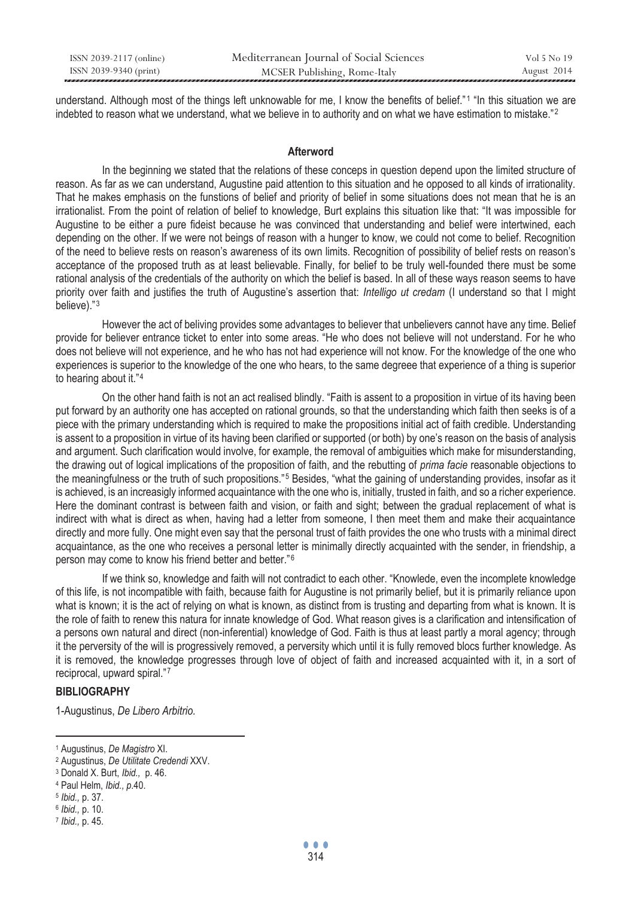| ISSN 2039-2117 (online) | Mediterranean Journal of Social Sciences | Vol 5 No 19 |
|-------------------------|------------------------------------------|-------------|
| ISSN 2039-9340 (print)  | MCSER Publishing, Rome-Italy             | August 2014 |

understand. Although most of the things left unknowable for me, I know the benefits of belief."<sup>1</sup> "In this situation we are indebted to reason what we understand, what we believe in to authority and on what we have estimation to mistake."<sup>2</sup>

#### **Afterword**

In the beginning we stated that the relations of these conceps in question depend upon the limited structure of reason. As far as we can understand, Augustine paid attention to this situation and he opposed to all kinds of irrationality. That he makes emphasis on the funstions of belief and priority of belief in some situations does not mean that he is an irrationalist. From the point of relation of belief to knowledge, Burt explains this situation like that: "It was impossible for Augustine to be either a pure fideist because he was convinced that understanding and belief were intertwined, each depending on the other. If we were not beings of reason with a hunger to know, we could not come to belief. Recognition of the need to believe rests on reason's awareness of its own limits. Recognition of possibility of belief rests on reason's acceptance of the proposed truth as at least believable. Finally, for belief to be truly well-founded there must be some rational analysis of the credentials of the authority on which the belief is based. In all of these ways reason seems to have priority over faith and justifies the truth of Augustine's assertion that: *Intelligo ut credam* (I understand so that I might believe)."<sup>3</sup>

However the act of beliving provides some advantages to believer that unbelievers cannot have any time. Belief provide for believer entrance ticket to enter into some areas. "He who does not believe will not understand. For he who does not believe will not experience, and he who has not had experience will not know. For the knowledge of the one who experiences is superior to the knowledge of the one who hears, to the same degreee that experience of a thing is superior to hearing about it."4

On the other hand faith is not an act realised blindly. "Faith is assent to a proposition in virtue of its having been put forward by an authority one has accepted on rational grounds, so that the understanding which faith then seeks is of a piece with the primary understanding which is required to make the propositions initial act of faith credible. Understanding is assent to a proposition in virtue of its having been clarified or supported (or both) by one's reason on the basis of analysis and argument. Such clarification would involve, for example, the removal of ambiguities which make for misunderstanding, the drawing out of logical implications of the proposition of faith, and the rebutting of *prima facie* reasonable objections to the meaningfulness or the truth of such propositions."<sup>5</sup> Besides, "what the gaining of understanding provides, insofar as it is achieved, is an increasigly informed acquaintance with the one who is, initially, trusted in faith, and so a richer experience. Here the dominant contrast is between faith and vision, or faith and sight; between the gradual replacement of what is indirect with what is direct as when, having had a letter from someone, I then meet them and make their acquaintance directly and more fully. One might even say that the personal trust of faith provides the one who trusts with a minimal direct acquaintance, as the one who receives a personal letter is minimally directly acquainted with the sender, in friendship, a person may come to know his friend better and better."<sup>6</sup>

If we think so, knowledge and faith will not contradict to each other. "Knowlede, even the incomplete knowledge of this life, is not incompatible with faith, because faith for Augustine is not primarily belief, but it is primarily reliance upon what is known; it is the act of relying on what is known, as distinct from is trusting and departing from what is known. It is the role of faith to renew this natura for innate knowledge of God. What reason gives is a clarification and intensification of a persons own natural and direct (non-inferential) knowledge of God. Faith is thus at least partly a moral agency; through it the perversity of the will is progressively removed, a perversity which until it is fully removed blocs further knowledge. As it is removed, the knowledge progresses through love of object of faith and increased acquainted with it, in a sort of reciprocal, upward spiral."7

# **BIBLIOGRAPHY**

1-Augustinus, *De Libero Arbitrio.*

<sup>&</sup>lt;sup>1</sup> Augustinus, De Magistro XI.<br><sup>2</sup> Augustinus, De Utilitate Credendi XXV.<br><sup>3</sup> Donald X. Burt, Ibid., p. 46.<br><sup>4</sup> Paul Helm, Ibid., p.40.<br><sup>5</sup> Ibid., p. 37.<br><sup>6</sup> Ibid., p. 10.<br>7 Ibid., p. 45.